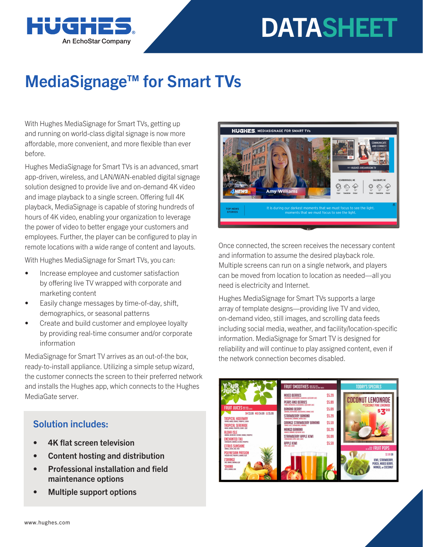# **DATASHEET**



## MediaSignage™ for Smart TVs

With Hughes MediaSignage for Smart TVs, getting up and running on world-class digital signage is now more affordable, more convenient, and more flexible than ever before.

Hughes MediaSignage for Smart TVs is an advanced, smart app-driven, wireless, and LAN/WAN-enabled digital signage solution designed to provide live and on-demand 4K video and image playback to a single screen. Offering full 4K playback, MediaSignage is capable of storing hundreds of hours of 4K video, enabling your organization to leverage the power of video to better engage your customers and employees. Further, the player can be configured to play in remote locations with a wide range of content and layouts.

With Hughes MediaSignage for Smart TVs, you can:

- Increase employee and customer satisfaction by offering live TV wrapped with corporate and marketing content
- Easily change messages by time-of-day, shift, demographics, or seasonal patterns
- Create and build customer and employee loyalty by providing real-time consumer and/or corporate information

MediaSignage for Smart TV arrives as an out-of-the box, ready-to-install appliance. Utilizing a simple setup wizard, the customer connects the screen to their preferred network and installs the Hughes app, which connects to the Hughes MediaGate server.

### Solution includes:

- 4K flat screen television
- Content hosting and distribution
- Professional installation and field maintenance options
- Multiple support options



Once connected, the screen receives the necessary content and information to assume the desired playback role. Multiple screens can run on a single network, and players can be moved from location to location as needed—all you need is electricity and Internet.

Hughes MediaSignage for Smart TVs supports a large array of template designs—providing live TV and video, on-demand video, still images, and scrolling data feeds including social media, weather, and facility/location-specific information. MediaSignage for Smart TV is designed for reliability and will continue to play assigned content, even if the network connection becomes disabled.